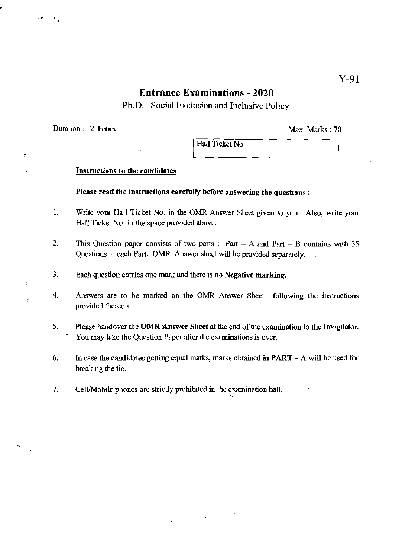# Entrance Examinations - 2020

Ph.D. Social Exclusion and Inclusive Policy

Duration: 2 hours Max. Marks: 70

è

٠

 $\overline{z}$ 

Hall Ticket No.

## Instructions to the candidates

### Please read the instructions carefully before answering the questions:

- 1. Write your Hall Ticket No. in the OMR Answer Sheet given to you. Also, write your Hall Ticket No. in the space provided above.
- 2. This Question paper consists of two parts: Part  $A$  and Part  $B$  contains with 35 Questions in each Part. OMR Answer sheet will be provided separately.
- 3. Each question carries one mark and there is no Negative marking.
- 4. Answers are to be marked on the OMR Answer Sheet following the instructions provided thereon.
- 5. Please hand over the OMR Answer Sheet at the end of the examination to the Invigilator. You may take the Question Paper after the examinations is over.
- 6. In case the candidates getting equal marks, marks obtained in **PART** A will be used for breaking the tie.
- 7. Cell/Mobile phones are strictly prohibited in the examination hall.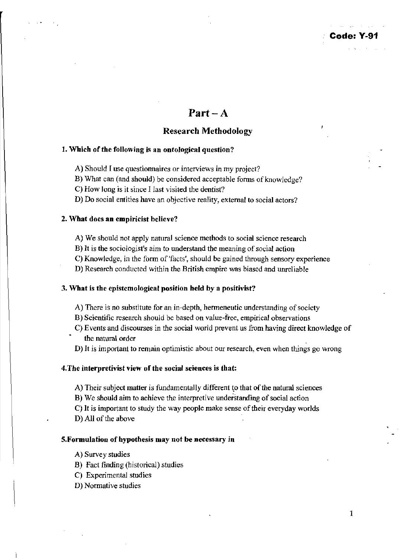# Part  $-A$

## Research Methodology

## 1. Which of the following is an ontological question?

- A) Should I use questionnaires or interviews in my project?
- B) What can (and should) be considered acceptable forms of knowledge?
- C) How long is it since I last visited the dentist?
- D) Do social entities have an objective reality, external to social actors?

### 2. What does an empiricist believe?

- A) We should not apply natural science methods to social science research
- B) It is the sociologist's aim to understand the meaning of social action
- C) Knowledge, in the form of 'facts', should be gained through sensory experience
- D) Research conducted within the British empire was biased and unreliable

### 3. What is the epistemological position held by a positivist?

- A) There is no substitute for an in-depth, hermeneutic understanding of society
- B) Scientific research should be based on value-free, empirical observations
- C) Events and discourses in the social world prevent us from having direct knowledge of the natural order
- D) It is important to remain optimistic about our research, even when things go wrong

### 4.The interpretivist view of the social sciences is that:

- A) Their subject matter is fundamentally different to that of the natural sciences
- B) We should aim to achieve the interpretive understanding of social action
- C) It is important to study the way people make sense of their everyday worlds
- D) All of the above

### S.Formulation of hypothesis may not be necessary in

- A) Survey studies
- B) Fact finding (historical) studies
- C) Experimental studies
- D) Normative studies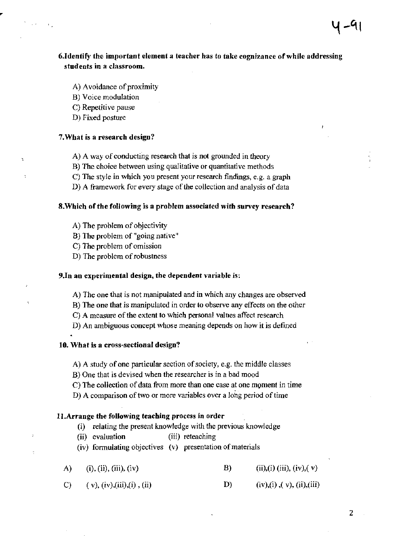## 6.Identify the important element a teacher has to take cognizance of while addressing students in a classroom.

- A) Avoidance of proximity
- B) Voice modulation
- C) Repetitive pause
- D) Fixed posture

### 7.What is a research design?

- A) A way of conducting research that is not grounded in theory
- B) The choice between using qualitative or quantitative methods
- C) The style in which you present your research findings, e.g. a graph
- D) A framework for every stage of the collection and analysis of data

### 8.Which of the following is a problem associated with survey research?

- A) The problem of objectivity
- B) The problem of "going native"
- C) The problem of omission
- D) The problem of robustness

#### 9.1n an experimental design, the dependent variable is:

- A) The one that is not manipulated and in which any changes are observed
- B) The one that *is* manipUlated in order to observe any effects on the other
- C) A measure of the extent to which personal values affect research
- D) An ambiguous concept whose meaning depends on how it is defined

### 10. What is a cross-sectional design?

- A) A study of one particular section of society, e.g. the middle classes
- B) One that is devised when the researcher is in a bad mood
- C) The collection of data from more than one case at one moment in time
- D) A comparison of two or more variables over a lohg period of time

### 1l.Arrange the following teaching process in order

- (i) relating the present knowledge with the previous knowledge
- (ii) evaluation (iii) reteaching

(iv) fonnulating objectives (v) presentation of materials

- A)  $(i), (ii), (iii), (iv)$ B)  $(ii),(i)$   $(iii), (iv), (v)$
- C)  $(v), (iv), (iii), (i), (ii)$ D)  $(iv), (i), (v), (ii), (iii)$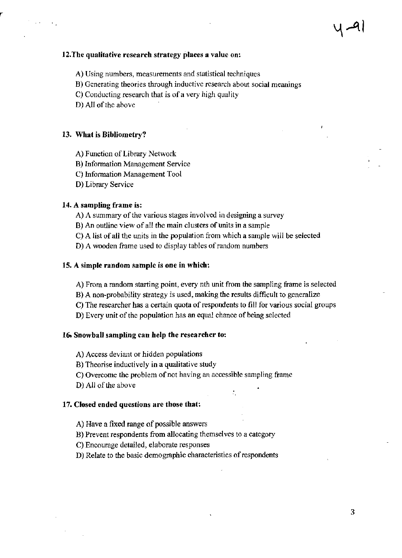## J2.The qualitative research strategy places a value on:

- A) Using numbers, measurements and statistical techniques
- B) Generating theories through inductive research about social meanings
- $C$ ) Conducting research that is of a very high quality
- D) All of the above

### 13. What is Bibliometry?

- A) Function of Library Network
- B) Information Management Service
- C) Information Management Tool
- D) Library Service

## 14. A sampling frame is:

- A) A summary of the various stages involved in designing a survey
- B) An outline view of all the main clusters of units in a sample
- C) A list of all the units in the population from which a sample will be selected

D) A wooden frame used to display tables of random numbers

### 15. A simple random sample is one in which:

- A) From a random starting point, every nth unit from the sampling frame is selected
- B) A non-probability strategy is used, making the results difficult to generalize
- C) The researcher has a certain quota of respondents to fill for various social groups
- D) Every unit of the population has an equal chance of being selected

### 16. Snowball sampling can help the researcher to:

A) Access deviant or hidden populations

- B) Theorise inductively in a qualitative study
- C) Overcome the problem of not having an accessible sampling frame
- D) All of the above

### 17. Closed ended questions are those that:

- A) Have a fixed range of possible answers
- B) Prevent respondents from allocating themselves to a category
- C) Encourage detailed, elaborate responses
- D) Relate to the basic demographic characteristics of respondents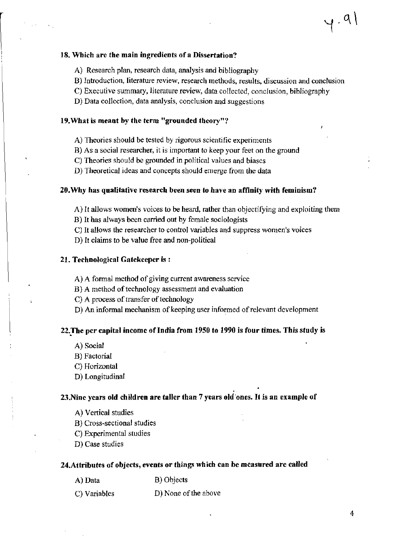### 18. Which are the main ingredients of a Dissertation?

- A) Research plan, research data, analysis and bibliography
- B) Introduction, literature review, research methods, results, discussion and conclusion
- C) Executive summary, literature review, data collected, conclusion, bibliography
- D) Data collection, data analysis, conclusion and suggestions

#### 19.What is meant by the term "grounded theory"'!

- A) Theories should be tested by rigorous scientific experiments
- B) As a social researcher, it is important to keep your feet on the ground
- C) Theories should be grounded in political values and biases
- D) Theoretical ideas and concepts should emerge from the data

#### 20.Why has qualitative research been seen to have an affinity with feminism?

- A) It allows women's voices to be heard, rather than objectifying and exploiting them
- B) It has always been carried out by female sociologists
- C) It allows the researcher to control variables and suppress women's voices
- D) It claims to be value free and non-political

#### 21. Technological Gatekeeper is :

- A) A formal method of giving current awareness service
- B) A method of technology assessment and evaluation
- C) A process of transfer of technology
- D) An informal mechanism of keeping user informed of relevant development

## 22. The per capital income of India from 1950 to 1990 is four times. This study is

- A) Social
- B) Factorial
- C) Horizontal
- D) Longitudinal

## . 23.Nine years old children are taller than 7 years old 'ones. It is an example of

- A) Vertical studies
- B) Cross-sectional studies
- C) Experimental studies
- D) Case studies

#### 24.Attributes of objects, events or things which can be measured are called

- A) Data B) Objects
	-
- C) Variables D) None of the above

 $, 9)$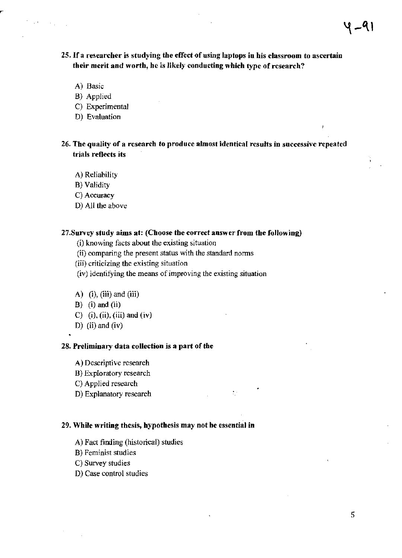## 2S.1f a researcher is studying the effect of using laptops in his classroom to ascertain their merit and worth, he is likely conducting which type of research?

A) Basic

 $\epsilon_{\rm in}$ 

- B) Applied
- C) Experimental
- D) Evaluation

## 26. The quality of a research to produce almost identical results in successive repeated trials reflects its

 $\mathcal{V}^{\mathcal{C}}_{\mathcal{C}}$ 

- A) Reliability
- B) Validity
- C) Accuracy
- D) All the above

## 27. Survey study aims at: (Choose the correct answer from the following)

(i) knowing facts about the existing situation

- (ii) comparing the present status with the standard norms
- (iii) criticizing the existing situation
- (iv) identifying the means of improving the existing situation
- A)  $(i)$ ,  $(iii)$  and  $(iii)$
- $B)$  (i) and (ii)
- C)  $(i)$ ,  $(ii)$ ,  $(iii)$  and  $(iv)$
- D) (ii) and (iv)

## 28. Preliminary data collection is a part of the

A) Descriptive research

- B) Exploratory research
- C) Applied research
- D) Explanatory research

#### 29. While writing thesis, hypothesis may not be essential in

- A) Fact finding (historical) studies
- B) Feminist studies
- C) Survey studies
- D) Case control studies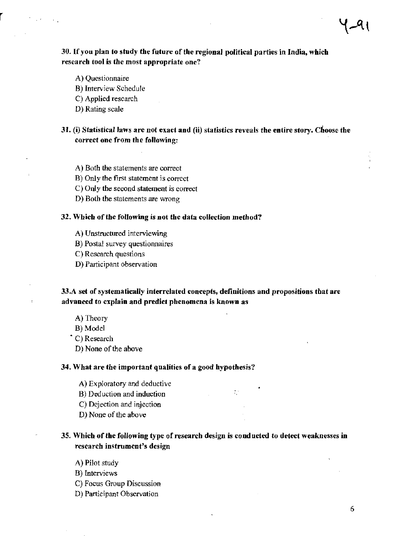## 30. If you plan to study the future of the regional political parties in India, which research tool is the most appropriate one7

- A) Questionnaire
- B) Interview Schedule
- C) Applied research
- D) Rating scale

## 31. (i) Statistical laws are not exact and (ii) statistics reveals the entire story. Choose the correct one from the following:

- A) Both the statements are correct
- B) Only the first statement is correct
- C) Only the second statement is correct
- D) Both the statements are wrong

#### 32. Which of the following is not the data collection method?

- A) Unstructured interviewing
- B) Postal survey questionnaires
- C) Research questions
- D) Participant observation

## 33.A set of systematically interrelated concepts, definitions and propositions that are advanced to explain and predict phenomena is known as

- A) Theory
- B) Model
- C) Research
	- D) None of the above

#### 34. What are the important qualities of a good hypothesis?

- A) Exploratory and deductive
- B) Deduction and induction
- C) Dejection and injection
- D) None of the above

## 35. Which of the following type of research design is conducted to detect weaknesses in research instrument's design

 $\mathcal{L}^{\perp}$ 

- A) Pilot study
- B) Interviews
- C) Focus Group Discussion
- D) Participant Observation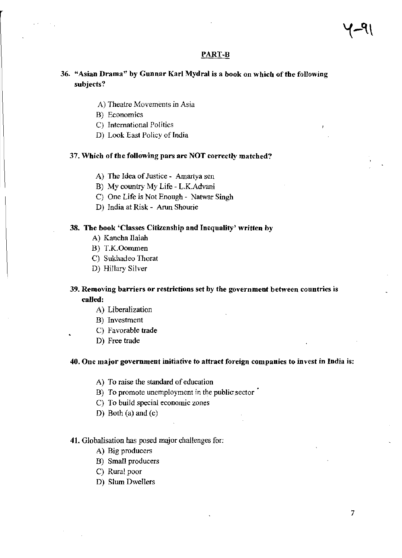### PART-B

## 36. "Asian Drama" by Gunnar Karl Mydral is a book on which of the following subjects?

- A) Theatre Movements in Asia
- B) Economics
- C) International Politics
- D) Look East Policy of India

#### 37. Which of the following pars are NOT correctly matched?

- A) The Idea of Justice Amartya sen
- B) My country My Life L.K.Advani
- C) One Life is Not Enough Natwar Singh
- D) India at Risk Arun Shourie

### 38. The book 'Classes Citizenship and Inequality' written by

- A) Kancha Ilaiah
- B) T.K.Oommen
- C) Sukhadeo Thorat
- D) Hillary Silver

## 39. Removing barriers or restrictions set by *the* government between countries is called:

- A) Liberalization
- B) Investment
- C) Favorable trade
- D) Free trade

#### 40. One major government initiative to attract foreign companies to invest in India is:

- A) To raise the standard of education
- B) To promote unemployment in the public sector
- C) To build special economic zones
- D) Both (a) and (c)

#### 41. Globalisation has posed major challenges for:

- A) Big producers
- B) Small producers
- C) Rural poor
- D) Slum Dwellers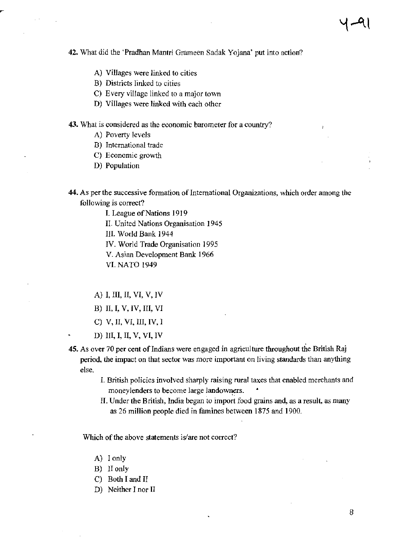**42.** What did the 'Pradhan Mantri Grameen Sadak Yojana' put into action?

- A) Villages were linked to cities
- B) Districts linked to cities
- C) Every village linked to a major town
- D) Villages were linked with each other

**43.** What is considered as the economic barometer for a country?

- A) Poverty levels
- B) International trade
- C) Economic growth
- D) Population
- **44.** As per the successive fonnation of Intemational Organizations, which order among the following is correct?
	- 1. League of Nations 1919
	- II. United Nations Organisation 1945
	- III. World Bank 1944
	- IV. World Trade Organisation 1995
	- V. Asian Development Bank 1966
	- VI. NATO 1949
	- A) I, III, II, VI, V, IV
	- B) II, I, V, IV, Ill, VI
	- C) V, II, VI, Ill, IV, I
	- D) III, I, II, V, VI, IV
- **45.** As over 70 per cent of Indians were engaged in agriculture throughout the British Raj period, the impact on that sector was more important on living standards than anything else.
	- 1. British policies involved sharply raising rural taxes that enabled merchants and moneylenders to become large landowners.<br>II. Under the British, India began to import food grains and, as a result, as many
	- as 26 million people died in famines between 1875 and 1900.

Which of the above statements is/are not correct?

- A) I only
- B) II only
- C) Both I and II
- D) Neither I nor II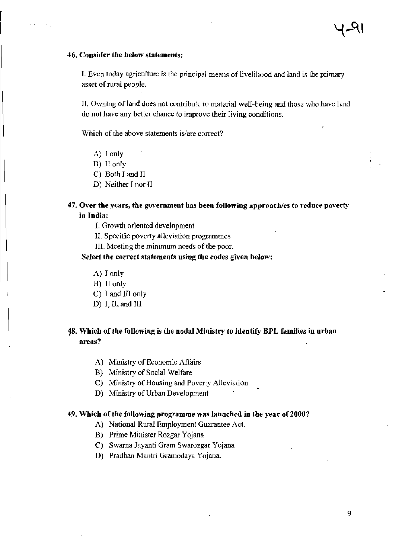#### 46. Consider the below statements:

I. Even today agriculture is the principal means of livelihood and land is the primary asset of rural people.

II. Owning of land does not contribute to material well-being and those who have land do not have any better chance to improve their living conditions.

Which of the above statements is/are correct?

- A) I only
- B) II only
- C) Both I and II
- D) Neither I nor II

## 47. Over the years, the government has been following approacb/es to reduce poverty in India:

- I. Growth oriented development
- II. Specific poverty alleviation programmes
- III. Meeting the minimum needs of the poor.

## Select the correct statements using the codes given below:

- A) I only
- B) II only
- C) I and III only
- D) I, II, and III

## 48. Which of the following is the nodal Ministry to identify BPL families in urban areas?

 $\mathcal{T}_\mathrm{c}$ 

- A) Ministry of Economic Affairs
- B) Ministry of Social Welfare
- C) Ministry of Housing and Poverty Alleviation
- D) Ministry of Urban Development

#### 49. Which of the following programme was launched in the year of 2000'?

- A) National Rural Employment Guarantee Act.
- B) Prime Minister Rozgar Yojana
- C) Swarna Jayanti Gram Swarozgar Yojana
- D) Pradhan Mantri Gramodaya Yojana.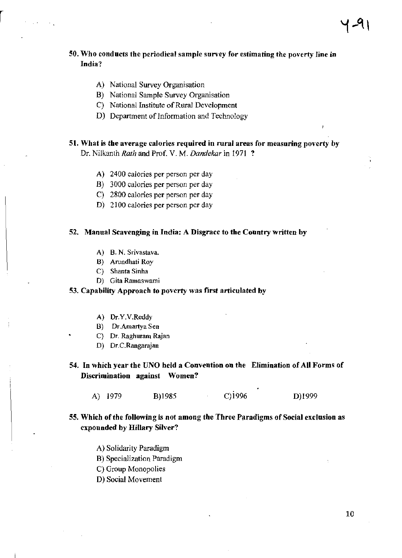## 50. Who conducts the periodical sample survey for estimating the poverty line in India?

### A) National Survey Organisation

- B) National Sample Survey Organisation
- C) National Institute of Rural Development
- D) Department of Information and Technology

# 51. What is the average calories required in rural areas for measuring poverty by

Dr. Nilkanth *Rath* and Prof. V. M. *Dandekar* in 1971 ?

- A) 2400 calories per person per day
- B) 3000 calories per person per day
- C) 2800 calories per person per day
- D) 2100 calories per person per day

### 52. Manual Scavenging in India: A Disgrace to the Country written by

- A) B. N. Srivastava.
- B) Arundhati Roy
- C) Shanta Sinha
- D) Gita Ramaswami

### 53. Capability Approach to poverty was first articulated by

- A) Dr.Y.V.Reddy
- B) Dr.Amartya Sen
- C) Dr. Raghuram Rajan
- D) Dr.C.Rangarajan

54. In which year the UNO held a Convention on the Elimination of All Forms of Discrimination against Women?

A) 1979 B)1985 C)1996 D)1999

## 55. Which of the following is not among the Three Paradigms of Social exclusion as expounded by Hillary Silver?

- A) Solidarity Paradigm
- B) Specialization Paradigm
- C) Group Monopolies
- D) Social Movement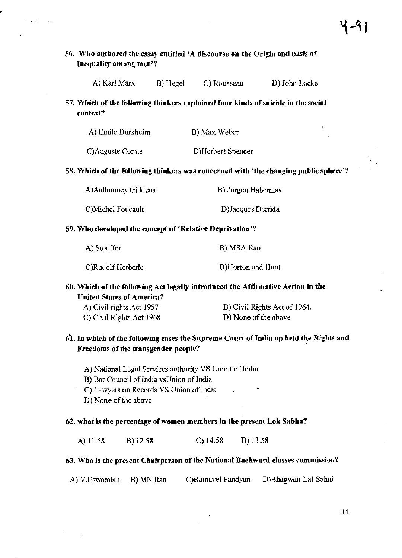## 56. Who authored the essay entitled 'A discourse on the Origin and basis of Inequality among men'?

| A) Karl Marx | B) Hegel | C) Rousseau | D) John Locke |
|--------------|----------|-------------|---------------|
|--------------|----------|-------------|---------------|

## 57. Which of the following thinkers explained four kinds of suicide in the social context?

|  |  | A) Emile Durkheim | B) Max Weber |
|--|--|-------------------|--------------|
|--|--|-------------------|--------------|

 $\sim$   $\sim$ 

C)Auguste Comte D)Herbert Spencer

### 58. Which of the following thinkers was concerned with 'the changing public sphere'?

| A)Anthonney Giddens | B) Jurgen Habermas |  |
|---------------------|--------------------|--|
| C)Michel Foucault   | D) Jacques Derrida |  |

### 59. Who developed the concept of 'Relative Deprivation'?

| A) Stouffer       | B).MSA Rao        |
|-------------------|-------------------|
| C)Rudolf Herberle | D)Horton and Hunt |

## 60. Which of the following Act legally introduced the Affirmative Action in the United States of America?

| A) Civil rights Act 1957 | B) Civil Rights Act of 1964. |
|--------------------------|------------------------------|
| C) Civil Rights Act 1968 | D) None of the above         |

## 61. In which of the following cases the Supreme Court of India up held the Rights and Freedoms of the transgender people?

- A) National Legal Services authority VS Union of India
- B) Bar Council of India vsUnion of India
- C) Lawyers on Records VS Union of India ÷.
- D) None-of the above

## 62. what is the percentage of women members in the present Lok Sabha?

A) 11.58 B) 12.58 C) 14.58 D) 13.58

## 63. Who is the present Chairperson of the National Backward classes commission?

A) V.Eswaraiah B) MN Rao C)Ratnavel Pandyan D)Bhagwan Lal Sahni